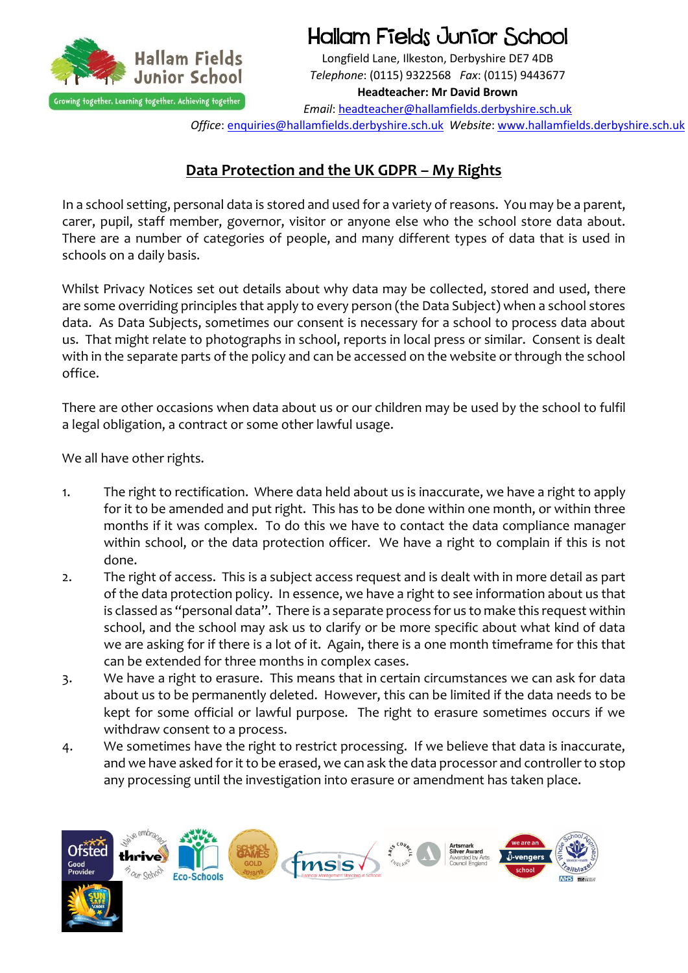

Hallam Fields Junior School

Longfield Lane, Ilkeston, Derbyshire DE7 4DB *Telephone*: (0115) 9322568 *Fax*: (0115) 9443677 **Headteacher: Mr David Brown**

*Email*: [headteacher@hallamfields.derbyshire.sch.uk](mailto:headteacher@hallamfields.derbyshire.sch.uk)

*Office*[: enquiries@hallamfields.derbyshire.sch.uk](mailto:enquiries@hallamfields.derbyshire.sch.uk) *Website*[: www.hallamfields.derbyshire.sch.uk](http://www.hallamfields.derbyshire.sch.uk/)

## **Data Protection and the UK GDPR – My Rights**

In a school setting, personal data is stored and used for a variety of reasons. You may be a parent, carer, pupil, staff member, governor, visitor or anyone else who the school store data about. There are a number of categories of people, and many different types of data that is used in schools on a daily basis.

Whilst Privacy Notices set out details about why data may be collected, stored and used, there are some overriding principles that apply to every person (the Data Subject) when a school stores data. As Data Subjects, sometimes our consent is necessary for a school to process data about us. That might relate to photographs in school, reports in local press or similar. Consent is dealt with in the separate parts of the policy and can be accessed on the website or through the school office.

There are other occasions when data about us or our children may be used by the school to fulfil a legal obligation, a contract or some other lawful usage.

We all have other rights.

- 1. The right to rectification. Where data held about us is inaccurate, we have a right to apply for it to be amended and put right. This has to be done within one month, or within three months if it was complex. To do this we have to contact the data compliance manager within school, or the data protection officer. We have a right to complain if this is not done.
- 2. The right of access. This is a subject access request and is dealt with in more detail as part of the data protection policy. In essence, we have a right to see information about us that is classed as "personal data". There is a separate process for us to make this request within school, and the school may ask us to clarify or be more specific about what kind of data we are asking for if there is a lot of it. Again, there is a one month timeframe for this that can be extended for three months in complex cases.
- 3. We have a right to erasure. This means that in certain circumstances we can ask for data about us to be permanently deleted. However, this can be limited if the data needs to be kept for some official or lawful purpose. The right to erasure sometimes occurs if we withdraw consent to a process.
- 4. We sometimes have the right to restrict processing. If we believe that data is inaccurate, and we have asked for it to be erased, we can ask the data processor and controller to stop any processing until the investigation into erasure or amendment has taken place.